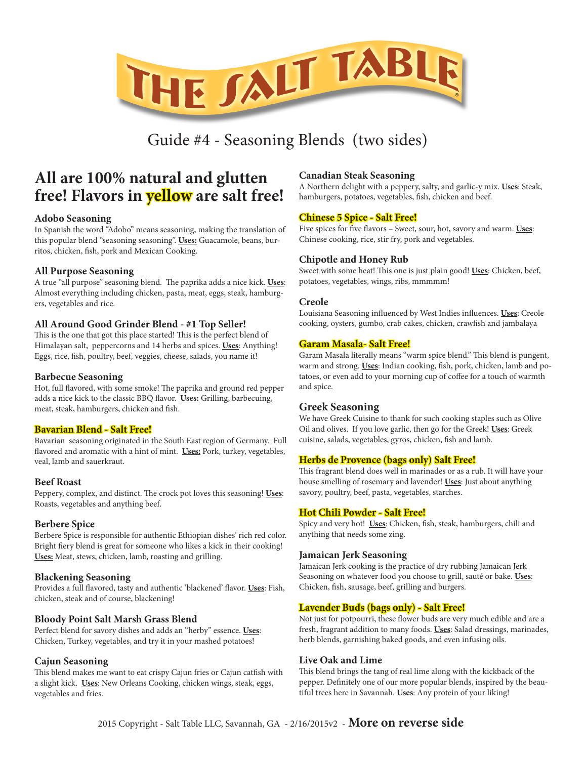

# Guide #4 - Seasoning Blends (two sides)

# **All are 100% natural and glutten free! Flavors in yellow are salt free!**

## **Adobo Seasoning**

In Spanish the word "Adobo" means seasoning, making the translation of this popular blend "seasoning seasoning". **Uses:** Guacamole, beans, burritos, chicken, fish, pork and Mexican Cooking.

# **All Purpose Seasoning**

A true "all purpose" seasoning blend. The paprika adds a nice kick. **Uses**: Almost everything including chicken, pasta, meat, eggs, steak, hamburgers, vegetables and rice.

# **All Around Good Grinder Blend - #1 Top Seller!**

This is the one that got this place started! This is the perfect blend of Himalayan salt, peppercorns and 14 herbs and spices. **Uses**: Anything! Eggs, rice, fish, poultry, beef, veggies, cheese, salads, you name it!

#### **Barbecue Seasoning**

Hot, full flavored, with some smoke! The paprika and ground red pepper adds a nice kick to the classic BBQ flavor. **Uses:** Grilling, barbecuing, meat, steak, hamburgers, chicken and fish.

# **Bavarian Blend - Salt Free!**

Bavarian seasoning originated in the South East region of Germany. Full flavored and aromatic with a hint of mint. **Uses:** Pork, turkey, vegetables, veal, lamb and sauerkraut.

## **Beef Roast**

Peppery, complex, and distinct. The crock pot loves this seasoning! **Uses**: Roasts, vegetables and anything beef.

## **Berbere Spice**

Berbere Spice is responsible for authentic Ethiopian dishes' rich red color. Bright fiery blend is great for someone who likes a kick in their cooking! **Uses:** Meat, stews, chicken, lamb, roasting and grilling.

## **Blackening Seasoning**

Provides a full flavored, tasty and authentic 'blackened' flavor. **Uses**: Fish, chicken, steak and of course, blackening!

## **Bloody Point Salt Marsh Grass Blend**

Perfect blend for savory dishes and adds an "herby" essence. **Uses**: Chicken, Turkey, vegetables, and try it in your mashed potatoes!

## **Cajun Seasoning**

This blend makes me want to eat crispy Cajun fries or Cajun catfish with a slight kick. **Uses**: New Orleans Cooking, chicken wings, steak, eggs, vegetables and fries.

## **Canadian Steak Seasoning**

A Northern delight with a peppery, salty, and garlic-y mix. **Uses**: Steak, hamburgers, potatoes, vegetables, fish, chicken and beef.

# **Chinese 5 Spice - Salt Free!**

Five spices for five flavors – Sweet, sour, hot, savory and warm. **Uses**: Chinese cooking, rice, stir fry, pork and vegetables.

## **Chipotle and Honey Rub**

Sweet with some heat! This one is just plain good! **Uses**: Chicken, beef, potatoes, vegetables, wings, ribs, mmmmm!

#### **Creole**

Louisiana Seasoning influenced by West Indies influences. **Uses**: Creole cooking, oysters, gumbo, crab cakes, chicken, crawfish and jambalaya

## **Garam Masala- Salt Free!**

Garam Masala literally means "warm spice blend." This blend is pungent, warm and strong. **Uses**: Indian cooking, fish, pork, chicken, lamb and potatoes, or even add to your morning cup of coffee for a touch of warmth and spice.

## **Greek Seasoning**

We have Greek Cuisine to thank for such cooking staples such as Olive Oil and olives. If you love garlic, then go for the Greek! **Uses**: Greek cuisine, salads, vegetables, gyros, chicken, fish and lamb.

# **Herbs de Provence (bags only) Salt Free!**

This fragrant blend does well in marinades or as a rub. It will have your house smelling of rosemary and lavender! **Uses**: Just about anything savory, poultry, beef, pasta, vegetables, starches.

## **Hot Chili Powder - Salt Free!**

Spicy and very hot! **Uses**: Chicken, fish, steak, hamburgers, chili and anything that needs some zing.

## **Jamaican Jerk Seasoning**

Jamaican Jerk cooking is the practice of dry rubbing Jamaican Jerk Seasoning on whatever food you choose to grill, sauté or bake. **Uses**: Chicken, fish, sausage, beef, grilling and burgers.

# **Lavender Buds (bags only) - Salt Free!**

Not just for potpourri, these flower buds are very much edible and are a fresh, fragrant addition to many foods. **Uses**: Salad dressings, marinades, herb blends, garnishing baked goods, and even infusing oils.

#### **Live Oak and Lime**

This blend brings the tang of real lime along with the kickback of the pepper. Definitely one of our more popular blends, inspired by the beautiful trees here in Savannah. **Uses**: Any protein of your liking!